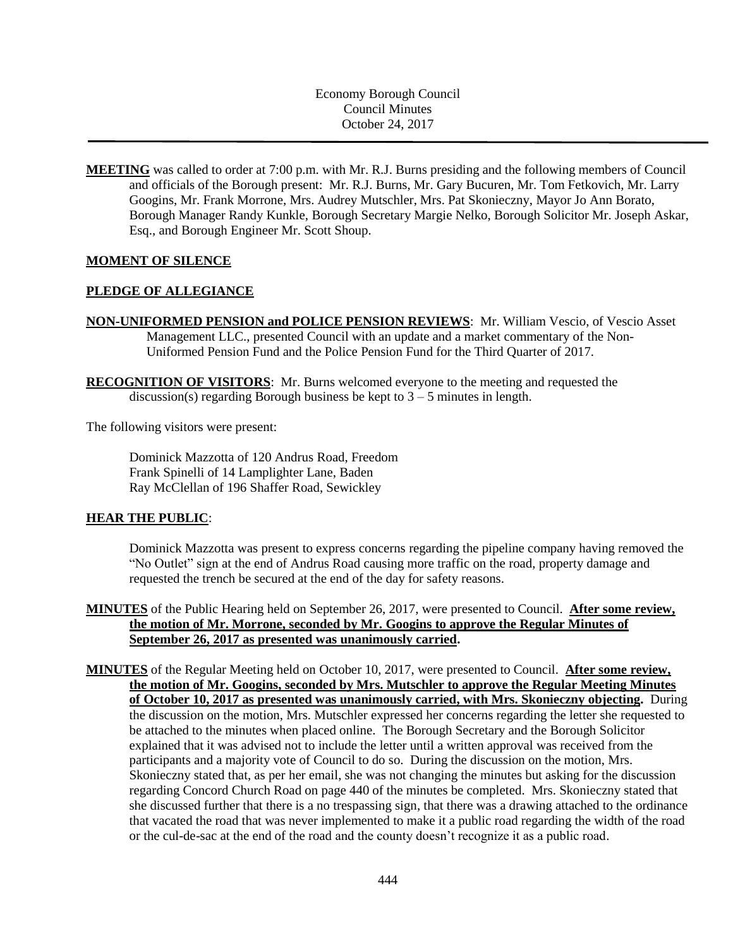Economy Borough Council Council Minutes October 24, 2017

**MEETING** was called to order at 7:00 p.m. with Mr. R.J. Burns presiding and the following members of Council and officials of the Borough present: Mr. R.J. Burns, Mr. Gary Bucuren, Mr. Tom Fetkovich, Mr. Larry Googins, Mr. Frank Morrone, Mrs. Audrey Mutschler, Mrs. Pat Skonieczny, Mayor Jo Ann Borato, Borough Manager Randy Kunkle, Borough Secretary Margie Nelko, Borough Solicitor Mr. Joseph Askar, Esq., and Borough Engineer Mr. Scott Shoup.

#### **MOMENT OF SILENCE**

#### **PLEDGE OF ALLEGIANCE**

**NON-UNIFORMED PENSION and POLICE PENSION REVIEWS**: Mr. William Vescio, of Vescio Asset Management LLC., presented Council with an update and a market commentary of the Non-Uniformed Pension Fund and the Police Pension Fund for the Third Quarter of 2017.

**RECOGNITION OF VISITORS**: Mr. Burns welcomed everyone to the meeting and requested the discussion(s) regarding Borough business be kept to  $3 - 5$  minutes in length.

The following visitors were present:

Dominick Mazzotta of 120 Andrus Road, Freedom Frank Spinelli of 14 Lamplighter Lane, Baden Ray McClellan of 196 Shaffer Road, Sewickley

#### **HEAR THE PUBLIC**:

Dominick Mazzotta was present to express concerns regarding the pipeline company having removed the "No Outlet" sign at the end of Andrus Road causing more traffic on the road, property damage and requested the trench be secured at the end of the day for safety reasons.

- **MINUTES** of the Public Hearing held on September 26, 2017, were presented to Council. **After some review, the motion of Mr. Morrone, seconded by Mr. Googins to approve the Regular Minutes of September 26, 2017 as presented was unanimously carried.**
- **MINUTES** of the Regular Meeting held on October 10, 2017, were presented to Council. **After some review, the motion of Mr. Googins, seconded by Mrs. Mutschler to approve the Regular Meeting Minutes of October 10, 2017 as presented was unanimously carried, with Mrs. Skonieczny objecting.** During the discussion on the motion, Mrs. Mutschler expressed her concerns regarding the letter she requested to be attached to the minutes when placed online. The Borough Secretary and the Borough Solicitor explained that it was advised not to include the letter until a written approval was received from the participants and a majority vote of Council to do so. During the discussion on the motion, Mrs. Skonieczny stated that, as per her email, she was not changing the minutes but asking for the discussion regarding Concord Church Road on page 440 of the minutes be completed. Mrs. Skonieczny stated that she discussed further that there is a no trespassing sign, that there was a drawing attached to the ordinance that vacated the road that was never implemented to make it a public road regarding the width of the road or the cul-de-sac at the end of the road and the county doesn't recognize it as a public road.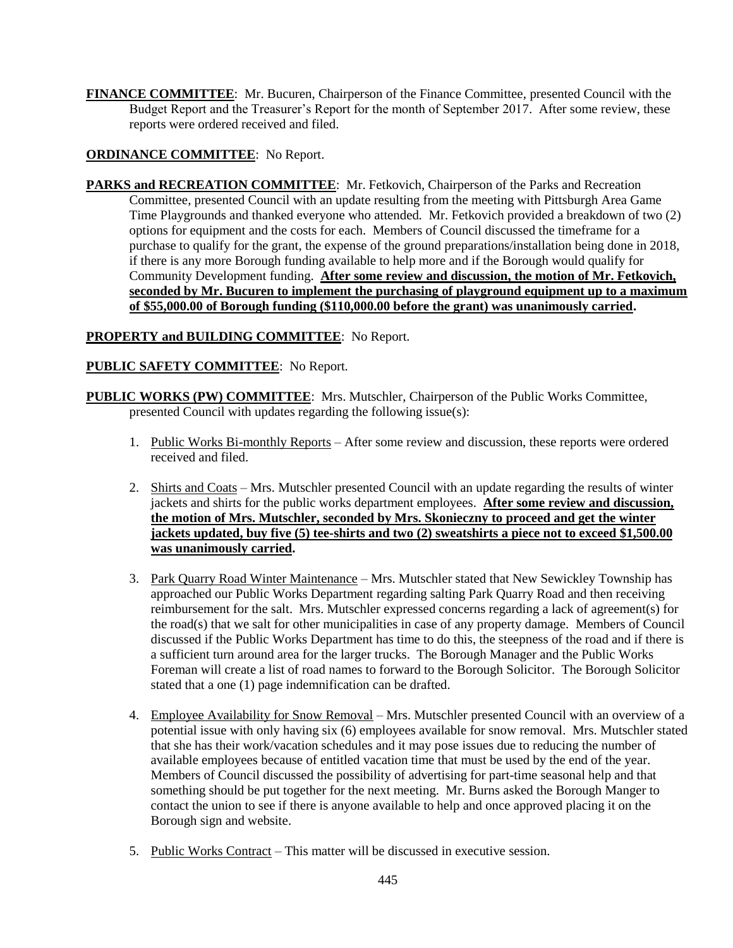**FINANCE COMMITTEE**: Mr. Bucuren, Chairperson of the Finance Committee, presented Council with the Budget Report and the Treasurer's Report for the month of September 2017. After some review, these reports were ordered received and filed.

# **ORDINANCE COMMITTEE**: No Report.

**PARKS and RECREATION COMMITTEE**: Mr. Fetkovich, Chairperson of the Parks and Recreation Committee, presented Council with an update resulting from the meeting with Pittsburgh Area Game Time Playgrounds and thanked everyone who attended. Mr. Fetkovich provided a breakdown of two (2) options for equipment and the costs for each. Members of Council discussed the timeframe for a purchase to qualify for the grant, the expense of the ground preparations/installation being done in 2018, if there is any more Borough funding available to help more and if the Borough would qualify for Community Development funding. **After some review and discussion, the motion of Mr. Fetkovich, seconded by Mr. Bucuren to implement the purchasing of playground equipment up to a maximum of \$55,000.00 of Borough funding (\$110,000.00 before the grant) was unanimously carried.**

# **PROPERTY and BUILDING COMMITTEE**: No Report.

# **PUBLIC SAFETY COMMITTEE**: No Report.

- **PUBLIC WORKS (PW) COMMITTEE**: Mrs. Mutschler, Chairperson of the Public Works Committee, presented Council with updates regarding the following issue(s):
	- 1. Public Works Bi-monthly Reports After some review and discussion, these reports were ordered received and filed.
	- 2. Shirts and Coats Mrs. Mutschler presented Council with an update regarding the results of winter jackets and shirts for the public works department employees. **After some review and discussion, the motion of Mrs. Mutschler, seconded by Mrs. Skonieczny to proceed and get the winter jackets updated, buy five (5) tee-shirts and two (2) sweatshirts a piece not to exceed \$1,500.00 was unanimously carried.**
	- 3. Park Quarry Road Winter Maintenance Mrs. Mutschler stated that New Sewickley Township has approached our Public Works Department regarding salting Park Quarry Road and then receiving reimbursement for the salt. Mrs. Mutschler expressed concerns regarding a lack of agreement(s) for the road(s) that we salt for other municipalities in case of any property damage. Members of Council discussed if the Public Works Department has time to do this, the steepness of the road and if there is a sufficient turn around area for the larger trucks. The Borough Manager and the Public Works Foreman will create a list of road names to forward to the Borough Solicitor. The Borough Solicitor stated that a one (1) page indemnification can be drafted.
	- 4. Employee Availability for Snow Removal Mrs. Mutschler presented Council with an overview of a potential issue with only having six (6) employees available for snow removal. Mrs. Mutschler stated that she has their work/vacation schedules and it may pose issues due to reducing the number of available employees because of entitled vacation time that must be used by the end of the year. Members of Council discussed the possibility of advertising for part-time seasonal help and that something should be put together for the next meeting. Mr. Burns asked the Borough Manger to contact the union to see if there is anyone available to help and once approved placing it on the Borough sign and website.
	- 5. Public Works Contract This matter will be discussed in executive session.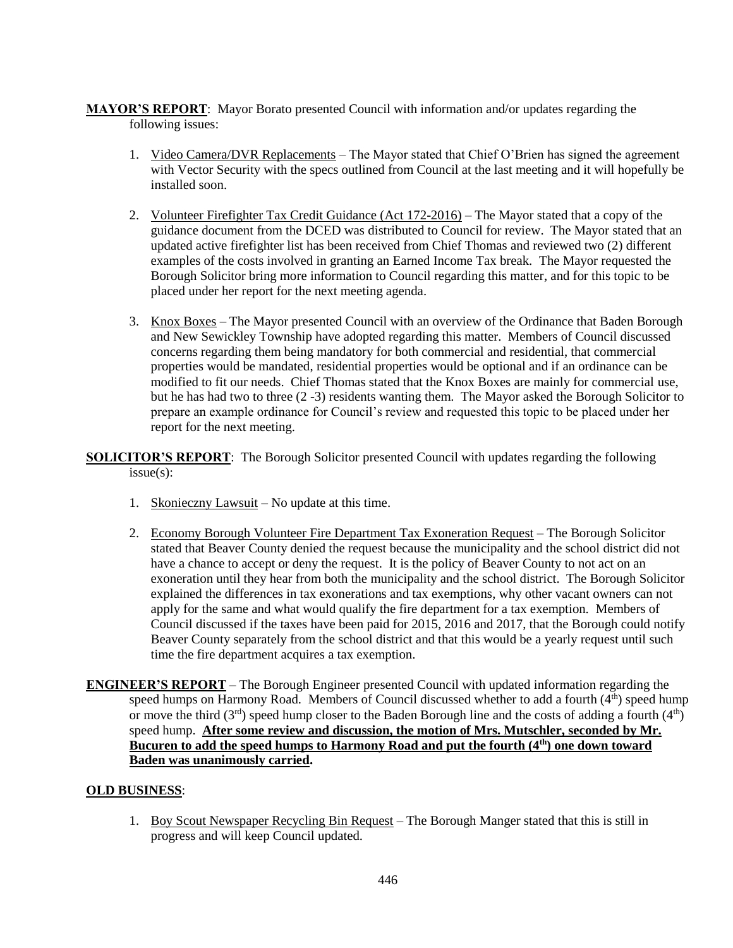**MAYOR'S REPORT**: Mayor Borato presented Council with information and/or updates regarding the following issues:

- 1. Video Camera/DVR Replacements The Mayor stated that Chief O'Brien has signed the agreement with Vector Security with the specs outlined from Council at the last meeting and it will hopefully be installed soon.
- 2. Volunteer Firefighter Tax Credit Guidance (Act 172-2016) The Mayor stated that a copy of the guidance document from the DCED was distributed to Council for review. The Mayor stated that an updated active firefighter list has been received from Chief Thomas and reviewed two (2) different examples of the costs involved in granting an Earned Income Tax break. The Mayor requested the Borough Solicitor bring more information to Council regarding this matter, and for this topic to be placed under her report for the next meeting agenda.
- 3. Knox Boxes The Mayor presented Council with an overview of the Ordinance that Baden Borough and New Sewickley Township have adopted regarding this matter. Members of Council discussed concerns regarding them being mandatory for both commercial and residential, that commercial properties would be mandated, residential properties would be optional and if an ordinance can be modified to fit our needs. Chief Thomas stated that the Knox Boxes are mainly for commercial use, but he has had two to three (2 -3) residents wanting them. The Mayor asked the Borough Solicitor to prepare an example ordinance for Council's review and requested this topic to be placed under her report for the next meeting.

**SOLICITOR'S REPORT**: The Borough Solicitor presented Council with updates regarding the following issue(s):

- 1. Skonieczny Lawsuit No update at this time.
- 2. Economy Borough Volunteer Fire Department Tax Exoneration Request The Borough Solicitor stated that Beaver County denied the request because the municipality and the school district did not have a chance to accept or deny the request. It is the policy of Beaver County to not act on an exoneration until they hear from both the municipality and the school district. The Borough Solicitor explained the differences in tax exonerations and tax exemptions, why other vacant owners can not apply for the same and what would qualify the fire department for a tax exemption. Members of Council discussed if the taxes have been paid for 2015, 2016 and 2017, that the Borough could notify Beaver County separately from the school district and that this would be a yearly request until such time the fire department acquires a tax exemption.
- **ENGINEER'S REPORT** The Borough Engineer presented Council with updated information regarding the speed humps on Harmony Road. Members of Council discussed whether to add a fourth  $(4<sup>th</sup>)$  speed hump or move the third  $(3<sup>rd</sup>)$  speed hump closer to the Baden Borough line and the costs of adding a fourth  $(4<sup>th</sup>)$ speed hump. **After some review and discussion, the motion of Mrs. Mutschler, seconded by Mr. Bucuren to add the speed humps to Harmony Road and put the fourth (4th) one down toward Baden was unanimously carried.**

## **OLD BUSINESS**:

1. Boy Scout Newspaper Recycling Bin Request – The Borough Manger stated that this is still in progress and will keep Council updated.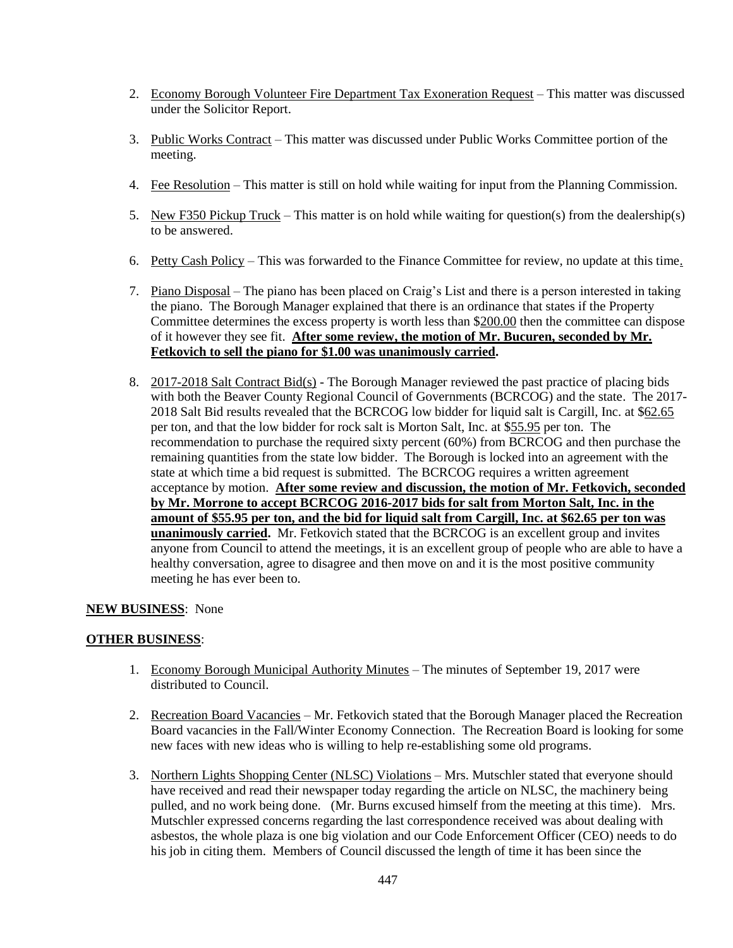- 2. Economy Borough Volunteer Fire Department Tax Exoneration Request This matter was discussed under the Solicitor Report.
- 3. Public Works Contract This matter was discussed under Public Works Committee portion of the meeting.
- 4. Fee Resolution This matter is still on hold while waiting for input from the Planning Commission.
- 5. New F350 Pickup Truck This matter is on hold while waiting for question(s) from the dealership(s) to be answered.
- 6. Petty Cash Policy This was forwarded to the Finance Committee for review, no update at this time.
- 7. Piano Disposal The piano has been placed on Craig's List and there is a person interested in taking the piano. The Borough Manager explained that there is an ordinance that states if the Property Committee determines the excess property is worth less than \$200.00 then the committee can dispose of it however they see fit. **After some review, the motion of Mr. Bucuren, seconded by Mr. Fetkovich to sell the piano for \$1.00 was unanimously carried.**
- 8. 2017-2018 Salt Contract Bid(s) The Borough Manager reviewed the past practice of placing bids with both the Beaver County Regional Council of Governments (BCRCOG) and the state. The 2017- 2018 Salt Bid results revealed that the BCRCOG low bidder for liquid salt is Cargill, Inc. at \$62.65 per ton, and that the low bidder for rock salt is Morton Salt, Inc. at \$55.95 per ton. The recommendation to purchase the required sixty percent (60%) from BCRCOG and then purchase the remaining quantities from the state low bidder. The Borough is locked into an agreement with the state at which time a bid request is submitted. The BCRCOG requires a written agreement acceptance by motion. **After some review and discussion, the motion of Mr. Fetkovich, seconded by Mr. Morrone to accept BCRCOG 2016-2017 bids for salt from Morton Salt, Inc. in the amount of \$55.95 per ton, and the bid for liquid salt from Cargill, Inc. at \$62.65 per ton was unanimously carried.** Mr. Fetkovich stated that the BCRCOG is an excellent group and invites anyone from Council to attend the meetings, it is an excellent group of people who are able to have a healthy conversation, agree to disagree and then move on and it is the most positive community meeting he has ever been to.

## **NEW BUSINESS**: None

## **OTHER BUSINESS**:

- 1. Economy Borough Municipal Authority Minutes The minutes of September 19, 2017 were distributed to Council.
- 2. Recreation Board Vacancies Mr. Fetkovich stated that the Borough Manager placed the Recreation Board vacancies in the Fall/Winter Economy Connection. The Recreation Board is looking for some new faces with new ideas who is willing to help re-establishing some old programs.
- 3. Northern Lights Shopping Center (NLSC) Violations Mrs. Mutschler stated that everyone should have received and read their newspaper today regarding the article on NLSC, the machinery being pulled, and no work being done. (Mr. Burns excused himself from the meeting at this time). Mrs. Mutschler expressed concerns regarding the last correspondence received was about dealing with asbestos, the whole plaza is one big violation and our Code Enforcement Officer (CEO) needs to do his job in citing them. Members of Council discussed the length of time it has been since the